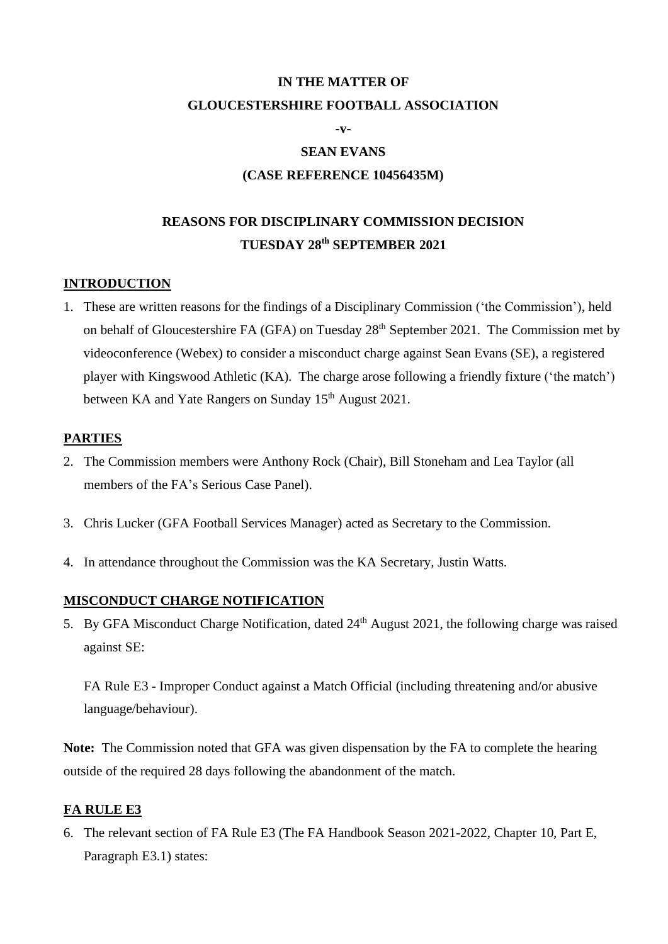# **IN THE MATTER OF GLOUCESTERSHIRE FOOTBALL ASSOCIATION**

**-v-**

#### **SEAN EVANS**

#### **(CASE REFERENCE 10456435M)**

## **REASONS FOR DISCIPLINARY COMMISSION DECISION TUESDAY 28th SEPTEMBER 2021**

#### **INTRODUCTION**

1. These are written reasons for the findings of a Disciplinary Commission ('the Commission'), held on behalf of Gloucestershire FA (GFA) on Tuesday 28<sup>th</sup> September 2021. The Commission met by videoconference (Webex) to consider a misconduct charge against Sean Evans (SE), a registered player with Kingswood Athletic (KA). The charge arose following a friendly fixture ('the match') between KA and Yate Rangers on Sunday 15<sup>th</sup> August 2021.

#### **PARTIES**

- 2. The Commission members were Anthony Rock (Chair), Bill Stoneham and Lea Taylor (all members of the FA's Serious Case Panel).
- 3. Chris Lucker (GFA Football Services Manager) acted as Secretary to the Commission.
- 4. In attendance throughout the Commission was the KA Secretary, Justin Watts.

#### **MISCONDUCT CHARGE NOTIFICATION**

5. By GFA Misconduct Charge Notification, dated  $24<sup>th</sup>$  August 2021, the following charge was raised against SE:

FA Rule E3 - Improper Conduct against a Match Official (including threatening and/or abusive language/behaviour).

**Note:** The Commission noted that GFA was given dispensation by the FA to complete the hearing outside of the required 28 days following the abandonment of the match.

#### **FA RULE E3**

6. The relevant section of FA Rule E3 (The FA Handbook Season 2021-2022, Chapter 10, Part E, Paragraph E3.1) states: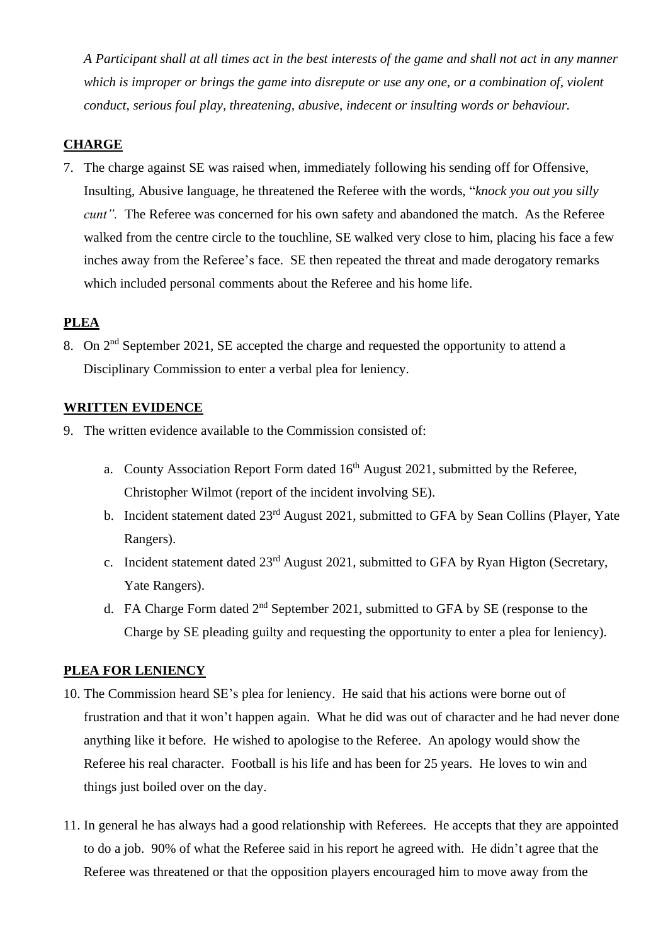*A Participant shall at all times act in the best interests of the game and shall not act in any manner which is improper or brings the game into disrepute or use any one, or a combination of, violent conduct, serious foul play, threatening, abusive, indecent or insulting words or behaviour.*

## **CHARGE**

7. The charge against SE was raised when, immediately following his sending off for Offensive, Insulting, Abusive language, he threatened the Referee with the words, "*knock you out you silly cunt*". The Referee was concerned for his own safety and abandoned the match. As the Referee walked from the centre circle to the touchline, SE walked very close to him, placing his face a few inches away from the Referee's face. SE then repeated the threat and made derogatory remarks which included personal comments about the Referee and his home life.

## **PLEA**

8. On 2<sup>nd</sup> September 2021, SE accepted the charge and requested the opportunity to attend a Disciplinary Commission to enter a verbal plea for leniency.

#### **WRITTEN EVIDENCE**

- 9. The written evidence available to the Commission consisted of:
	- a. County Association Report Form dated  $16<sup>th</sup>$  August 2021, submitted by the Referee, Christopher Wilmot (report of the incident involving SE).
	- b. Incident statement dated 23<sup>rd</sup> August 2021, submitted to GFA by Sean Collins (Player, Yate Rangers).
	- c. Incident statement dated 23<sup>rd</sup> August 2021, submitted to GFA by Ryan Higton (Secretary, Yate Rangers).
	- d. FA Charge Form dated  $2<sup>nd</sup>$  September 2021, submitted to GFA by SE (response to the Charge by SE pleading guilty and requesting the opportunity to enter a plea for leniency).

## **PLEA FOR LENIENCY**

- 10. The Commission heard SE's plea for leniency. He said that his actions were borne out of frustration and that it won't happen again. What he did was out of character and he had never done anything like it before. He wished to apologise to the Referee. An apology would show the Referee his real character. Football is his life and has been for 25 years. He loves to win and things just boiled over on the day.
- 11. In general he has always had a good relationship with Referees. He accepts that they are appointed to do a job. 90% of what the Referee said in his report he agreed with. He didn't agree that the Referee was threatened or that the opposition players encouraged him to move away from the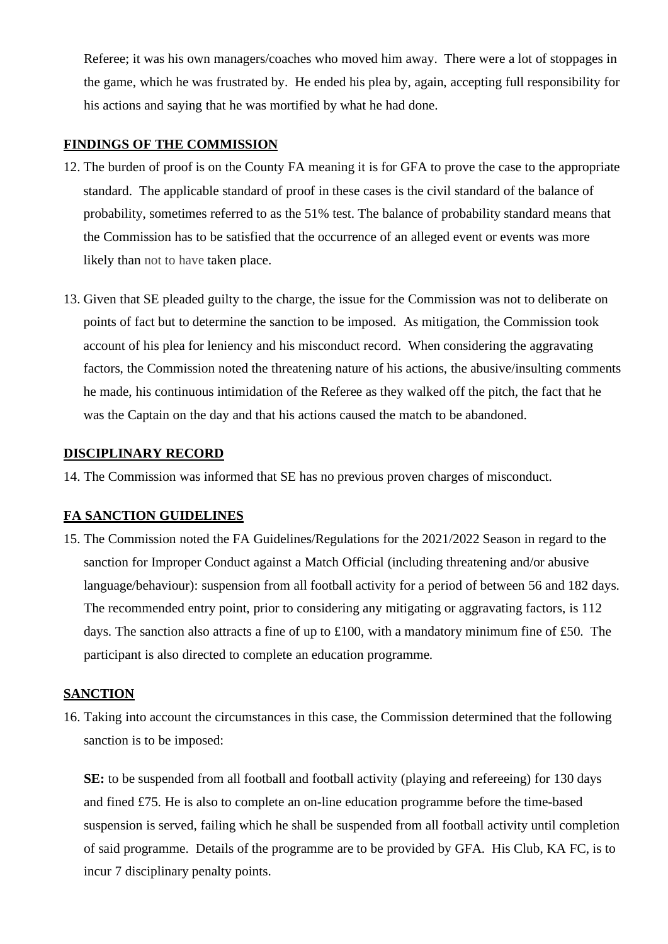Referee; it was his own managers/coaches who moved him away. There were a lot of stoppages in the game, which he was frustrated by. He ended his plea by, again, accepting full responsibility for his actions and saying that he was mortified by what he had done.

## **FINDINGS OF THE COMMISSION**

- 12. The burden of proof is on the County FA meaning it is for GFA to prove the case to the appropriate standard. The applicable standard of proof in these cases is the civil standard of the balance of probability, sometimes referred to as the 51% test. The balance of probability standard means that the Commission has to be satisfied that the occurrence of an alleged event or events was more likely than not to have taken place.
- 13. Given that SE pleaded guilty to the charge, the issue for the Commission was not to deliberate on points of fact but to determine the sanction to be imposed. As mitigation, the Commission took account of his plea for leniency and his misconduct record. When considering the aggravating factors, the Commission noted the threatening nature of his actions, the abusive/insulting comments he made, his continuous intimidation of the Referee as they walked off the pitch, the fact that he was the Captain on the day and that his actions caused the match to be abandoned.

## **DISCIPLINARY RECORD**

14. The Commission was informed that SE has no previous proven charges of misconduct.

## **FA SANCTION GUIDELINES**

15. The Commission noted the FA Guidelines/Regulations for the 2021/2022 Season in regard to the sanction for Improper Conduct against a Match Official (including threatening and/or abusive language/behaviour): suspension from all football activity for a period of between 56 and 182 days. The recommended entry point, prior to considering any mitigating or aggravating factors, is 112 days. The sanction also attracts a fine of up to £100, with a mandatory minimum fine of £50. The participant is also directed to complete an education programme.

## **SANCTION**

16. Taking into account the circumstances in this case, the Commission determined that the following sanction is to be imposed:

**SE:** to be suspended from all football and football activity (playing and refereeing) for 130 days and fined £75. He is also to complete an on-line education programme before the time-based suspension is served, failing which he shall be suspended from all football activity until completion of said programme. Details of the programme are to be provided by GFA. His Club, KA FC, is to incur 7 disciplinary penalty points.